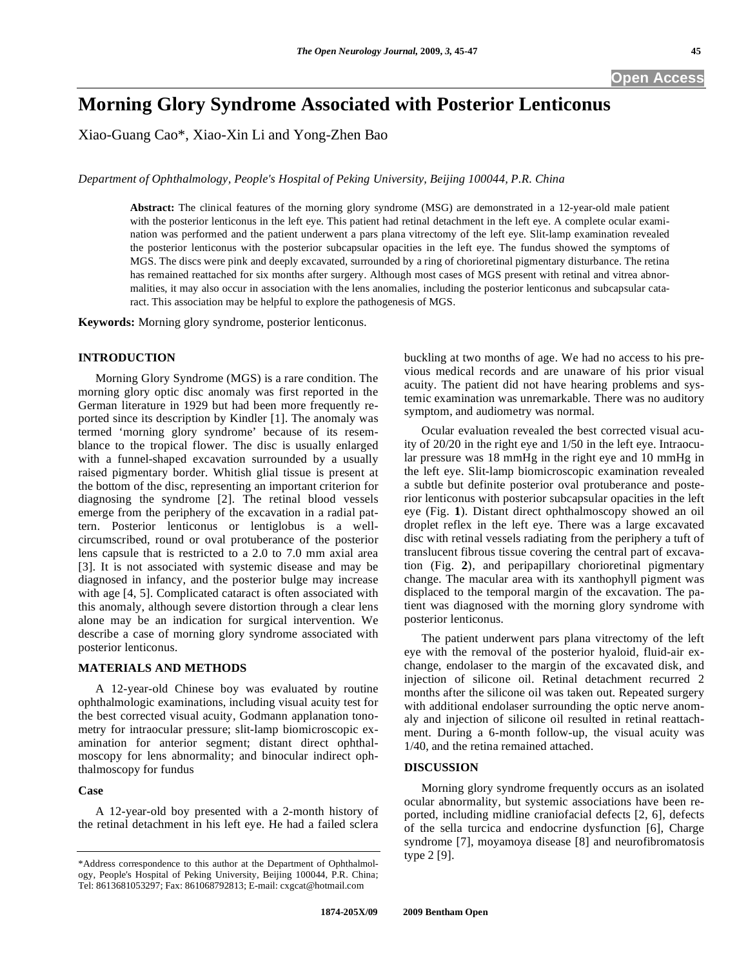# **Morning Glory Syndrome Associated with Posterior Lenticonus**

Xiao-Guang Cao\*, Xiao-Xin Li and Yong-Zhen Bao

*Department of Ophthalmology, People's Hospital of Peking University, Beijing 100044, P.R. China* 

**Abstract:** The clinical features of the morning glory syndrome (MSG) are demonstrated in a 12-year-old male patient with the posterior lenticonus in the left eye. This patient had retinal detachment in the left eye. A complete ocular examination was performed and the patient underwent a pars plana vitrectomy of the left eye. Slit-lamp examination revealed the posterior lenticonus with the posterior subcapsular opacities in the left eye. The fundus showed the symptoms of MGS. The discs were pink and deeply excavated, surrounded by a ring of chorioretinal pigmentary disturbance. The retina has remained reattached for six months after surgery. Although most cases of MGS present with retinal and vitrea abnormalities, it may also occur in association with the lens anomalies, including the posterior lenticonus and subcapsular cataract. This association may be helpful to explore the pathogenesis of MGS.

**Keywords:** Morning glory syndrome, posterior lenticonus.

## **INTRODUCTION**

 Morning Glory Syndrome (MGS) is a rare condition. The morning glory optic disc anomaly was first reported in the German literature in 1929 but had been more frequently reported since its description by Kindler [1]. The anomaly was termed 'morning glory syndrome' because of its resemblance to the tropical flower. The disc is usually enlarged with a funnel-shaped excavation surrounded by a usually raised pigmentary border. Whitish glial tissue is present at the bottom of the disc, representing an important criterion for diagnosing the syndrome [2]. The retinal blood vessels emerge from the periphery of the excavation in a radial pattern. Posterior lenticonus or lentiglobus is a wellcircumscribed, round or oval protuberance of the posterior lens capsule that is restricted to a 2.0 to 7.0 mm axial area [3]. It is not associated with systemic disease and may be diagnosed in infancy, and the posterior bulge may increase with age [4, 5]. Complicated cataract is often associated with this anomaly, although severe distortion through a clear lens alone may be an indication for surgical intervention. We describe a case of morning glory syndrome associated with posterior lenticonus.

#### **MATERIALS AND METHODS**

 A 12-year-old Chinese boy was evaluated by routine ophthalmologic examinations, including visual acuity test for the best corrected visual acuity, Godmann applanation tonometry for intraocular pressure; slit-lamp biomicroscopic examination for anterior segment; distant direct ophthalmoscopy for lens abnormality; and binocular indirect ophthalmoscopy for fundus

#### **Case**

 A 12-year-old boy presented with a 2-month history of the retinal detachment in his left eye. He had a failed sclera

buckling at two months of age. We had no access to his previous medical records and are unaware of his prior visual acuity. The patient did not have hearing problems and systemic examination was unremarkable. There was no auditory symptom, and audiometry was normal.

 Ocular evaluation revealed the best corrected visual acuity of 20/20 in the right eye and 1/50 in the left eye. Intraocular pressure was 18 mmHg in the right eye and 10 mmHg in the left eye. Slit-lamp biomicroscopic examination revealed a subtle but definite posterior oval protuberance and posterior lenticonus with posterior subcapsular opacities in the left eye (Fig. **1**). Distant direct ophthalmoscopy showed an oil droplet reflex in the left eye. There was a large excavated disc with retinal vessels radiating from the periphery a tuft of translucent fibrous tissue covering the central part of excavation (Fig. **2**), and peripapillary chorioretinal pigmentary change. The macular area with its xanthophyll pigment was displaced to the temporal margin of the excavation. The patient was diagnosed with the morning glory syndrome with posterior lenticonus.

 The patient underwent pars plana vitrectomy of the left eye with the removal of the posterior hyaloid, fluid-air exchange, endolaser to the margin of the excavated disk, and injection of silicone oil. Retinal detachment recurred 2 months after the silicone oil was taken out. Repeated surgery with additional endolaser surrounding the optic nerve anomaly and injection of silicone oil resulted in retinal reattachment. During a 6-month follow-up, the visual acuity was 1/40, and the retina remained attached.

#### **DISCUSSION**

 Morning glory syndrome frequently occurs as an isolated ocular abnormality, but systemic associations have been reported, including midline craniofacial defects [2, 6], defects of the sella turcica and endocrine dysfunction [6], Charge syndrome [7], moyamoya disease [8] and neurofibromatosis type 2 [9].

<sup>\*</sup>Address correspondence to this author at the Department of Ophthalmology, People's Hospital of Peking University, Beijing 100044, P.R. China; Tel: 8613681053297; Fax: 861068792813; E-mail: cxgcat@hotmail.com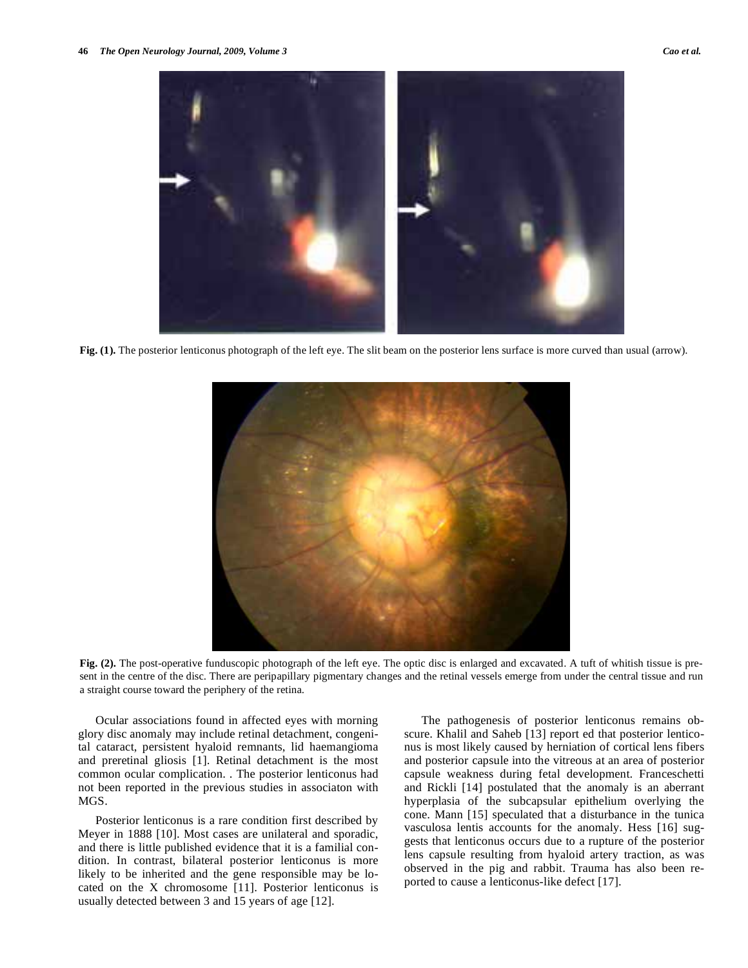

**Fig. (1).** The posterior lenticonus photograph of the left eye. The slit beam on the posterior lens surface is more curved than usual (arrow).



**Fig. (2).** The post-operative funduscopic photograph of the left eye. The optic disc is enlarged and excavated. A tuft of whitish tissue is present in the centre of the disc. There are peripapillary pigmentary changes and the retinal vessels emerge from under the central tissue and run a straight course toward the periphery of the retina.

 Ocular associations found in affected eyes with morning glory disc anomaly may include retinal detachment, congenital cataract, persistent hyaloid remnants, lid haemangioma and preretinal gliosis [1]. Retinal detachment is the most common ocular complication. . The posterior lenticonus had not been reported in the previous studies in associaton with MGS.

 Posterior lenticonus is a rare condition first described by Meyer in 1888 [10]. Most cases are unilateral and sporadic, and there is little published evidence that it is a familial condition. In contrast, bilateral posterior lenticonus is more likely to be inherited and the gene responsible may be located on the X chromosome [11]. Posterior lenticonus is usually detected between 3 and 15 years of age [12].

 The pathogenesis of posterior lenticonus remains obscure. Khalil and Saheb [13] report ed that posterior lenticonus is most likely caused by herniation of cortical lens fibers and posterior capsule into the vitreous at an area of posterior capsule weakness during fetal development. Franceschetti and Rickli [14] postulated that the anomaly is an aberrant hyperplasia of the subcapsular epithelium overlying the cone. Mann [15] speculated that a disturbance in the tunica vasculosa lentis accounts for the anomaly. Hess [16] suggests that lenticonus occurs due to a rupture of the posterior lens capsule resulting from hyaloid artery traction, as was observed in the pig and rabbit. Trauma has also been reported to cause a lenticonus-like defect [17].